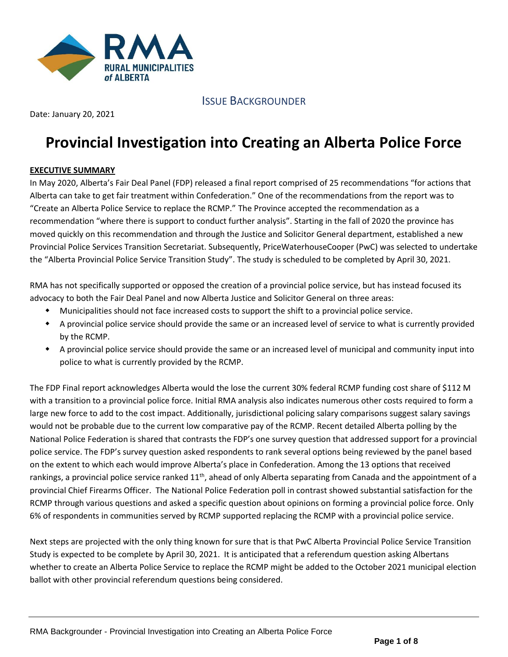

ISSUE BACKGROUNDER

Date: January 20, 2021

# **Provincial Investigation into Creating an Alberta Police Force**

## **EXECUTIVE SUMMARY**

In May 2020, Alberta's Fair Deal Panel (FDP) released a final report comprised of 25 recommendations "for actions that Alberta can take to get fair treatment within Confederation." One of the recommendations from the report was to "Create an Alberta Police Service to replace the RCMP." The Province accepted the recommendation as a recommendation "where there is support to conduct further analysis". Starting in the fall of 2020 the province has moved quickly on this recommendation and through the Justice and Solicitor General department, established a new Provincial Police Services Transition Secretariat. Subsequently, PriceWaterhouseCooper (PwC) was selected to undertake the "Alberta Provincial Police Service Transition Study". The study is scheduled to be completed by April 30, 2021.

RMA has not specifically supported or opposed the creation of a provincial police service, but has instead focused its advocacy to both the Fair Deal Panel and now Alberta Justice and Solicitor General on three areas:

- Municipalities should not face increased costs to support the shift to a provincial police service.
- A provincial police service should provide the same or an increased level of service to what is currently provided by the RCMP.
- A provincial police service should provide the same or an increased level of municipal and community input into police to what is currently provided by the RCMP.

The FDP Final report acknowledges Alberta would the lose the current 30% federal RCMP funding cost share of \$112 M with a transition to a provincial police force. Initial RMA analysis also indicates numerous other costs required to form a large new force to add to the cost impact. Additionally, jurisdictional policing salary comparisons suggest salary savings would not be probable due to the current low comparative pay of the RCMP. Recent detailed Alberta polling by the National Police Federation is shared that contrasts the FDP's one survey question that addressed support for a provincial police service. The FDP's survey question asked respondents to rank several options being reviewed by the panel based on the extent to which each would improve Alberta's place in Confederation. Among the 13 options that received rankings, a provincial police service ranked  $11<sup>th</sup>$ , ahead of only Alberta separating from Canada and the appointment of a provincial Chief Firearms Officer. The National Police Federation poll in contrast showed substantial satisfaction for the RCMP through various questions and asked a specific question about opinions on forming a provincial police force. Only 6% of respondents in communities served by RCMP supported replacing the RCMP with a provincial police service.

Next steps are projected with the only thing known for sure that is that PwC Alberta Provincial Police Service Transition Study is expected to be complete by April 30, 2021. It is anticipated that a referendum question asking Albertans whether to create an Alberta Police Service to replace the RCMP might be added to the October 2021 municipal election ballot with other provincial referendum questions being considered.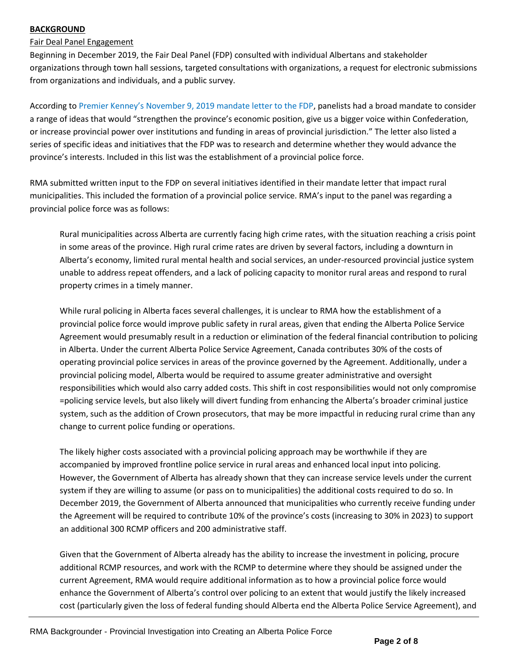## **BACKGROUND**

# Fair Deal Panel Engagement

Beginning in December 2019, the Fair Deal Panel (FDP) consulted with individual Albertans and stakeholder organizations through town hall sessions, targeted consultations with organizations, a request for electronic submissions from organizations and individuals, and a public survey.

According to [Premier Kenney's November 9, 2019 mandate letter to the FDP](https://www.alberta.ca/external/news/letter-from-premier-to-panel.pdf), panelists had a broad mandate to consider a range of ideas that would "strengthen the province's economic position, give us a bigger voice within Confederation, or increase provincial power over institutions and funding in areas of provincial jurisdiction." The letter also listed a series of specific ideas and initiatives that the FDP was to research and determine whether they would advance the province's interests. Included in this list was the establishment of a provincial police force.

RMA submitted written input to the FDP on several initiatives identified in their mandate letter that impact rural municipalities. This included the formation of a provincial police service. RMA's input to the panel was regarding a provincial police force was as follows:

Rural municipalities across Alberta are currently facing high crime rates, with the situation reaching a crisis point in some areas of the province. High rural crime rates are driven by several factors, including a downturn in Alberta's economy, limited rural mental health and social services, an under-resourced provincial justice system unable to address repeat offenders, and a lack of policing capacity to monitor rural areas and respond to rural property crimes in a timely manner.

While rural policing in Alberta faces several challenges, it is unclear to RMA how the establishment of a provincial police force would improve public safety in rural areas, given that ending the Alberta Police Service Agreement would presumably result in a reduction or elimination of the federal financial contribution to policing in Alberta. Under the current Alberta Police Service Agreement, Canada contributes 30% of the costs of operating provincial police services in areas of the province governed by the Agreement. Additionally, under a provincial policing model, Alberta would be required to assume greater administrative and oversight responsibilities which would also carry added costs. This shift in cost responsibilities would not only compromise =policing service levels, but also likely will divert funding from enhancing the Alberta's broader criminal justice system, such as the addition of Crown prosecutors, that may be more impactful in reducing rural crime than any change to current police funding or operations.

The likely higher costs associated with a provincial policing approach may be worthwhile if they are accompanied by improved frontline police service in rural areas and enhanced local input into policing. However, the Government of Alberta has already shown that they can increase service levels under the current system if they are willing to assume (or pass on to municipalities) the additional costs required to do so. In December 2019, the Government of Alberta announced that municipalities who currently receive funding under the Agreement will be required to contribute 10% of the province's costs (increasing to 30% in 2023) to support an additional 300 RCMP officers and 200 administrative staff.

Given that the Government of Alberta already has the ability to increase the investment in policing, procure additional RCMP resources, and work with the RCMP to determine where they should be assigned under the current Agreement, RMA would require additional information as to how a provincial police force would enhance the Government of Alberta's control over policing to an extent that would justify the likely increased cost (particularly given the loss of federal funding should Alberta end the Alberta Police Service Agreement), and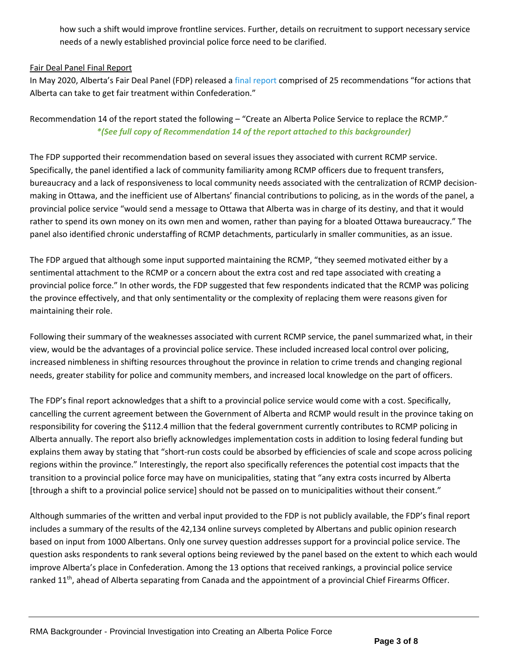how such a shift would improve frontline services. Further, details on recruitment to support necessary service needs of a newly established provincial police force need to be clarified.

#### Fair Deal Panel Final Report

In May 2020, Alberta's Fair Deal Panel (FDP) released a [final report](https://open.alberta.ca/dataset/d8933f27-5f81-4cbb-97c1-f56b45b09a74/resource/d5836820-d81f-4042-b24e-b04e012f4cde/download/fair-deal-panel-report-to-government-may-2020.pdf) comprised of 25 recommendations "for actions that Alberta can take to get fair treatment within Confederation."

# Recommendation 14 of the report stated the following – "Create an Alberta Police Service to replace the RCMP." *\*(See full copy of Recommendation 14 of the report attached to this backgrounder)*

The FDP supported their recommendation based on several issues they associated with current RCMP service. Specifically, the panel identified a lack of community familiarity among RCMP officers due to frequent transfers, bureaucracy and a lack of responsiveness to local community needs associated with the centralization of RCMP decisionmaking in Ottawa, and the inefficient use of Albertans' financial contributions to policing, as in the words of the panel, a provincial police service "would send a message to Ottawa that Alberta was in charge of its destiny, and that it would rather to spend its own money on its own men and women, rather than paying for a bloated Ottawa bureaucracy." The panel also identified chronic understaffing of RCMP detachments, particularly in smaller communities, as an issue.

The FDP argued that although some input supported maintaining the RCMP, "they seemed motivated either by a sentimental attachment to the RCMP or a concern about the extra cost and red tape associated with creating a provincial police force." In other words, the FDP suggested that few respondents indicated that the RCMP was policing the province effectively, and that only sentimentality or the complexity of replacing them were reasons given for maintaining their role.

Following their summary of the weaknesses associated with current RCMP service, the panel summarized what, in their view, would be the advantages of a provincial police service. These included increased local control over policing, increased nimbleness in shifting resources throughout the province in relation to crime trends and changing regional needs, greater stability for police and community members, and increased local knowledge on the part of officers.

The FDP's final report acknowledges that a shift to a provincial police service would come with a cost. Specifically, cancelling the current agreement between the Government of Alberta and RCMP would result in the province taking on responsibility for covering the \$112.4 million that the federal government currently contributes to RCMP policing in Alberta annually. The report also briefly acknowledges implementation costs in addition to losing federal funding but explains them away by stating that "short-run costs could be absorbed by efficiencies of scale and scope across policing regions within the province." Interestingly, the report also specifically references the potential cost impacts that the transition to a provincial police force may have on municipalities, stating that "any extra costs incurred by Alberta [through a shift to a provincial police service] should not be passed on to municipalities without their consent."

Although summaries of the written and verbal input provided to the FDP is not publicly available, the FDP's final report includes a summary of the results of the 42,134 online surveys completed by Albertans and public opinion research based on input from 1000 Albertans. Only one survey question addresses support for a provincial police service. The question asks respondents to rank several options being reviewed by the panel based on the extent to which each would improve Alberta's place in Confederation. Among the 13 options that received rankings, a provincial police service ranked 11<sup>th</sup>, ahead of Alberta separating from Canada and the appointment of a provincial Chief Firearms Officer.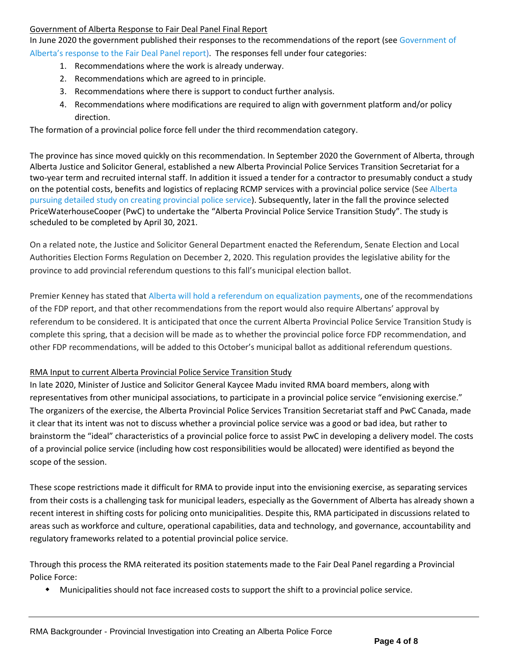#### Government of Alberta Response to Fair Deal Panel Final Report

In June 2020 the government published their responses to the recommendations of the report (se[e Government](https://open.alberta.ca/dataset/735ca928-7938-41c0-ba33-a38a0d7e3251/resource/7153e491-4274-4ec7-bcbe-ecb56d663683/download/fair-deal-panel-report-government-response-june-2020.pdf) of Alberta['s response to the Fair Deal Panel report](https://open.alberta.ca/dataset/735ca928-7938-41c0-ba33-a38a0d7e3251/resource/7153e491-4274-4ec7-bcbe-ecb56d663683/download/fair-deal-panel-report-government-response-june-2020.pdf)). The responses fell under four categories:

- 1. Recommendations where the work is already underway.
- 2. Recommendations which are agreed to in principle.
- 3. Recommendations where there is support to conduct further analysis.
- 4. Recommendations where modifications are required to align with government platform and/or policy direction.

The formation of a provincial police force fell under the third recommendation category.

The province has since moved quickly on this recommendation. In September 2020 the Government of Alberta, through Alberta Justice and Solicitor General, established a new Alberta Provincial Police Services Transition Secretariat for a two-year term and recruited internal staff. In addition it issued a tender for a contractor to presumably conduct a study on the potential costs, benefits and logistics of replacing RCMP services with a provincial police service (See [Alberta](https://www.cbc.ca/news/canada/edmonton/alberta-pursuing-detailed-study-on-creating-provincial-police-service-1.5718219)  [pursuing detailed study on creating provincial police service\)](https://www.cbc.ca/news/canada/edmonton/alberta-pursuing-detailed-study-on-creating-provincial-police-service-1.5718219). Subsequently, later in the fall the province selected PriceWaterhouseCooper (PwC) to undertake the "Alberta Provincial Police Service Transition Study". The study is scheduled to be completed by April 30, 2021.

On a related note, the Justice and Solicitor General Department enacted the Referendum, Senate Election and Local Authorities Election Forms Regulation on December 2, 2020. This regulation provides the legislative ability for the province to add provincial referendum questions to this fall's municipal election ballot.

Premier Kenney has stated that Alberta will [hold a referendum on equalization payments,](https://www.theglobeandmail.com/canada/article-alberta-to-hold-referendum-on-equalization-payments-premier-kenney/) one of the recommendations of the FDP report, and that other recommendations from the report would also require Albertans' approval by referendum to be considered. It is anticipated that once the current Alberta Provincial Police Service Transition Study is complete this spring, that a decision will be made as to whether the provincial police force FDP recommendation, and other FDP recommendations, will be added to this October's municipal ballot as additional referendum questions.

## RMA Input to current Alberta Provincial Police Service Transition Study

In late 2020, Minister of Justice and Solicitor General Kaycee Madu invited RMA board members, along with representatives from other municipal associations, to participate in a provincial police service "envisioning exercise." The organizers of the exercise, the Alberta Provincial Police Services Transition Secretariat staff and PwC Canada, made it clear that its intent was not to discuss whether a provincial police service was a good or bad idea, but rather to brainstorm the "ideal" characteristics of a provincial police force to assist PwC in developing a delivery model. The costs of a provincial police service (including how cost responsibilities would be allocated) were identified as beyond the scope of the session.

These scope restrictions made it difficult for RMA to provide input into the envisioning exercise, as separating services from their costs is a challenging task for municipal leaders, especially as the Government of Alberta has already shown a recent interest in shifting costs for policing onto municipalities. Despite this, RMA participated in discussions related to areas such as workforce and culture, operational capabilities, data and technology, and governance, accountability and regulatory frameworks related to a potential provincial police service.

Through this process the RMA reiterated its position statements made to the Fair Deal Panel regarding a Provincial Police Force:

Municipalities should not face increased costs to support the shift to a provincial police service.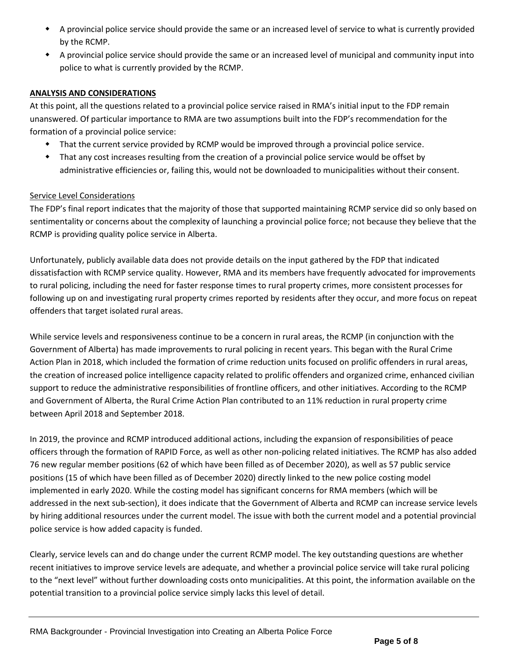- A provincial police service should provide the same or an increased level of service to what is currently provided by the RCMP.
- A provincial police service should provide the same or an increased level of municipal and community input into police to what is currently provided by the RCMP.

#### **ANALYSIS AND CONSIDERATIONS**

At this point, all the questions related to a provincial police service raised in RMA's initial input to the FDP remain unanswered. Of particular importance to RMA are two assumptions built into the FDP's recommendation for the formation of a provincial police service:

- That the current service provided by RCMP would be improved through a provincial police service.
- That any cost increases resulting from the creation of a provincial police service would be offset by administrative efficiencies or, failing this, would not be downloaded to municipalities without their consent.

#### Service Level Considerations

The FDP's final report indicates that the majority of those that supported maintaining RCMP service did so only based on sentimentality or concerns about the complexity of launching a provincial police force; not because they believe that the RCMP is providing quality police service in Alberta.

Unfortunately, publicly available data does not provide details on the input gathered by the FDP that indicated dissatisfaction with RCMP service quality. However, RMA and its members have frequently advocated for improvements to rural policing, including the need for faster response times to rural property crimes, more consistent processes for following up on and investigating rural property crimes reported by residents after they occur, and more focus on repeat offenders that target isolated rural areas.

While service levels and responsiveness continue to be a concern in rural areas, the RCMP (in conjunction with the Government of Alberta) has made improvements to rural policing in recent years. This began with the Rural Crime Action Plan in 2018, which included the formation of crime reduction units focused on prolific offenders in rural areas, the creation of increased police intelligence capacity related to prolific offenders and organized crime, enhanced civilian support to reduce the administrative responsibilities of frontline officers, and other initiatives. According to the RCMP and Government of Alberta, the Rural Crime Action Plan contributed to an 11% reduction in rural property crime between April 2018 and September 2018.

In 2019, the province and RCMP introduced additional actions, including the expansion of responsibilities of peace officers through the formation of RAPID Force, as well as other non-policing related initiatives. The RCMP has also added 76 new regular member positions (62 of which have been filled as of December 2020), as well as 57 public service positions (15 of which have been filled as of December 2020) directly linked to the new police costing model implemented in early 2020. While the costing model has significant concerns for RMA members (which will be addressed in the next sub-section), it does indicate that the Government of Alberta and RCMP can increase service levels by hiring additional resources under the current model. The issue with both the current model and a potential provincial police service is how added capacity is funded.

Clearly, service levels can and do change under the current RCMP model. The key outstanding questions are whether recent initiatives to improve service levels are adequate, and whether a provincial police service will take rural policing to the "next level" without further downloading costs onto municipalities. At this point, the information available on the potential transition to a provincial police service simply lacks this level of detail.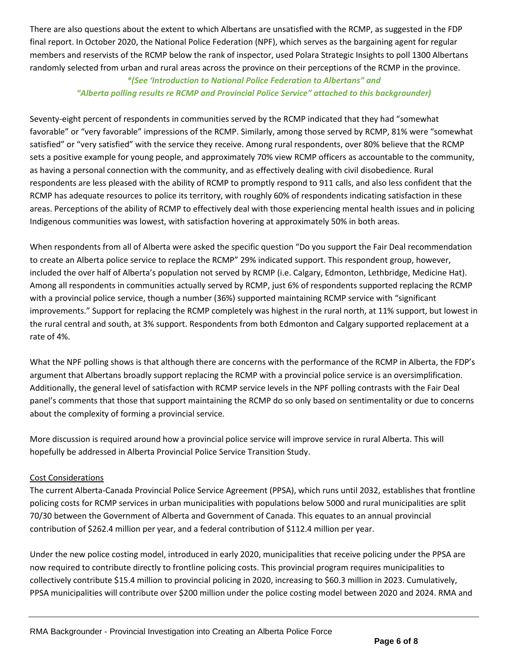There are also questions about the extent to which Albertans are unsatisfied with the RCMP, as suggested in the FDP final report. In October 2020, the National Police Federation (NPF), which serves as the bargaining agent for regular members and reservists of the RCMP below the rank of inspector, used Polara Strategic Insights to poll 1300 Albertans randomly selected from urban and rural areas across the province on their perceptions of the RCMP in the province.

## *\*(See 'Introduction to National Police Federation to Albertans" and "Alberta polling results re RCMP and Provincial Police Service" attached to this backgrounder)*

Seventy-eight percent of respondents in communities served by the RCMP indicated that they had "somewhat favorable" or "very favorable" impressions of the RCMP. Similarly, among those served by RCMP, 81% were "somewhat satisfied" or "very satisfied" with the service they receive. Among rural respondents, over 80% believe that the RCMP sets a positive example for young people, and approximately 70% view RCMP officers as accountable to the community, as having a personal connection with the community, and as effectively dealing with civil disobedience. Rural respondents are less pleased with the ability of RCMP to promptly respond to 911 calls, and also less confident that the RCMP has adequate resources to police its territory, with roughly 60% of respondents indicating satisfaction in these areas. Perceptions of the ability of RCMP to effectively deal with those experiencing mental health issues and in policing Indigenous communities was lowest, with satisfaction hovering at approximately 50% in both areas.

When respondents from all of Alberta were asked the specific question "Do you support the Fair Deal recommendation to create an Alberta police service to replace the RCMP" 29% indicated support. This respondent group, however, included the over half of Alberta's population not served by RCMP (i.e. Calgary, Edmonton, Lethbridge, Medicine Hat). Among all respondents in communities actually served by RCMP, just 6% of respondents supported replacing the RCMP with a provincial police service, though a number (36%) supported maintaining RCMP service with "significant improvements." Support for replacing the RCMP completely was highest in the rural north, at 11% support, but lowest in the rural central and south, at 3% support. Respondents from both Edmonton and Calgary supported replacement at a rate of 4%.

What the NPF polling shows is that although there are concerns with the performance of the RCMP in Alberta, the FDP's argument that Albertans broadly support replacing the RCMP with a provincial police service is an oversimplification. Additionally, the general level of satisfaction with RCMP service levels in the NPF polling contrasts with the Fair Deal panel's comments that those that support maintaining the RCMP do so only based on sentimentality or due to concerns about the complexity of forming a provincial service.

More discussion is required around how a provincial police service will improve service in rural Alberta. This will hopefully be addressed in Alberta Provincial Police Service Transition Study.

## Cost Considerations

The current Alberta-Canada Provincial Police Service Agreement (PPSA), which runs until 2032, establishes that frontline policing costs for RCMP services in urban municipalities with populations below 5000 and rural municipalities are split 70/30 between the Government of Alberta and Government of Canada. This equates to an annual provincial contribution of \$262.4 million per year, and a federal contribution of \$112.4 million per year.

Under the new police costing model, introduced in early 2020, municipalities that receive policing under the PPSA are now required to contribute directly to frontline policing costs. This provincial program requires municipalities to collectively contribute \$15.4 million to provincial policing in 2020, increasing to \$60.3 million in 2023. Cumulatively, PPSA municipalities will contribute over \$200 million under the police costing model between 2020 and 2024. RMA and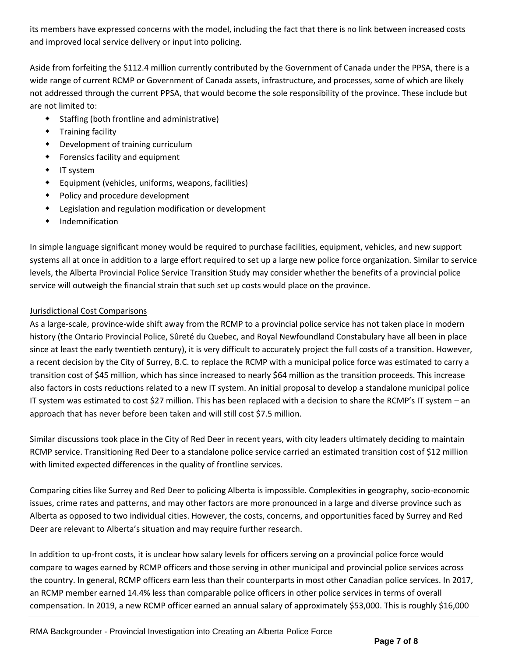its members have expressed concerns with the model, including the fact that there is no link between increased costs and improved local service delivery or input into policing.

Aside from forfeiting the \$112.4 million currently contributed by the Government of Canada under the PPSA, there is a wide range of current RCMP or Government of Canada assets, infrastructure, and processes, some of which are likely not addressed through the current PPSA, that would become the sole responsibility of the province. These include but are not limited to:

- Staffing (both frontline and administrative)
- **\*** Training facility
- Development of training curriculum
- Forensics facility and equipment
- IT system
- Equipment (vehicles, uniforms, weapons, facilities)
- Policy and procedure development
- Legislation and regulation modification or development
- Indemnification

In simple language significant money would be required to purchase facilities, equipment, vehicles, and new support systems all at once in addition to a large effort required to set up a large new police force organization. Similar to service levels, the Alberta Provincial Police Service Transition Study may consider whether the benefits of a provincial police service will outweigh the financial strain that such set up costs would place on the province.

## Jurisdictional Cost Comparisons

As a large-scale, province-wide shift away from the RCMP to a provincial police service has not taken place in modern history (the Ontario Provincial Police, Sûreté du Quebec, and Royal Newfoundland Constabulary have all been in place since at least the early twentieth century), it is very difficult to accurately project the full costs of a transition. However, a recent decision by the City of Surrey, B.C. to replace the RCMP with a municipal police force was estimated to carry a transition cost of \$45 million, which has since increased to nearly \$64 million as the transition proceeds. This increase also factors in costs reductions related to a new IT system. An initial proposal to develop a standalone municipal police IT system was estimated to cost \$27 million. This has been replaced with a decision to share the RCMP's IT system – an approach that has never before been taken and will still cost \$7.5 million.

Similar discussions took place in the City of Red Deer in recent years, with city leaders ultimately deciding to maintain RCMP service. Transitioning Red Deer to a standalone police service carried an estimated transition cost of \$12 million with limited expected differences in the quality of frontline services.

Comparing cities like Surrey and Red Deer to policing Alberta is impossible. Complexities in geography, socio-economic issues, crime rates and patterns, and may other factors are more pronounced in a large and diverse province such as Alberta as opposed to two individual cities. However, the costs, concerns, and opportunities faced by Surrey and Red Deer are relevant to Alberta's situation and may require further research.

In addition to up-front costs, it is unclear how salary levels for officers serving on a provincial police force would compare to wages earned by RCMP officers and those serving in other municipal and provincial police services across the country. In general, RCMP officers earn less than their counterparts in most other Canadian police services. In 2017, an RCMP member earned 14.4% less than comparable police officers in other police services in terms of overall compensation. In 2019, a new RCMP officer earned an annual salary of approximately \$53,000. This is roughly \$16,000